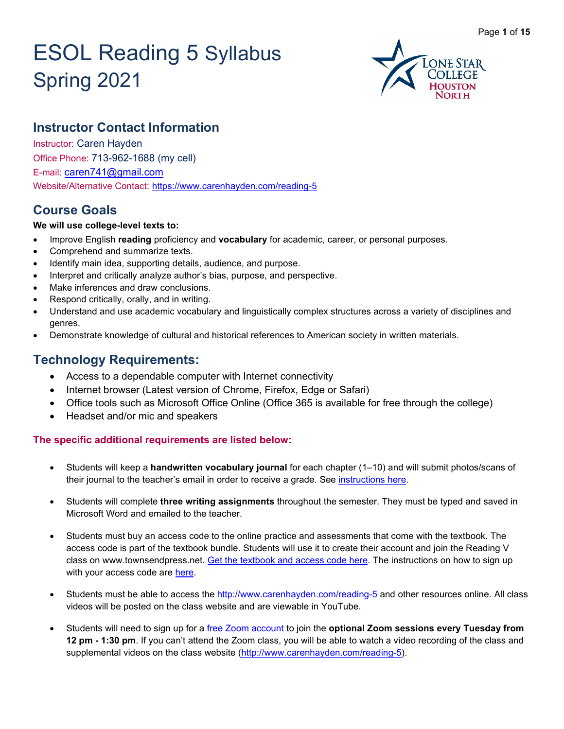# ESOL Reading 5 Syllabus Spring 2021



# **Instructor Contact Information**

Instructor: Caren Hayden Office Phone: 713-962-1688 (my cell) E-mail: [caren741@gmail.com](mailto:caren741@gmail.com) Website/Alternative Contact: <https://www.carenhayden.com/reading-5>

# **Course Goals**

#### **We will use college-level texts to:**

- Improve English **reading** proficiency and **vocabulary** for academic, career, or personal purposes.
- Comprehend and summarize texts.
- Identify main idea, supporting details, audience, and purpose.
- Interpret and critically analyze author's bias, purpose, and perspective.
- Make inferences and draw conclusions.
- Respond critically, orally, and in writing.
- Understand and use academic vocabulary and linguistically complex structures across a variety of disciplines and genres.
- Demonstrate knowledge of cultural and historical references to American society in written materials.

# **Technology Requirements:**

- Access to a dependable computer with Internet connectivity
- Internet browser (Latest version of Chrome, Firefox, Edge or Safari)
- Office tools such as Microsoft Office Online (Office 365 is available for free through the college)
- Headset and/or mic and speakers

#### **The specific additional requirements are listed below:**

- Students will keep a **handwritten vocabulary journal** for each chapter (1–10) and will submit photos/scans of their journal to the teacher's email in order to receive a grade. See [instructions here.](https://ed0e94c6-2b8b-4bba-b991-c304d67f7fb5.filesusr.com/ugd/7f1504_d06fae48fe4d4f9e8297b659dd2d1b51.pdf)
- Students will complete **three writing assignments** throughout the semester. They must be typed and saved in Microsoft Word and emailed to the teacher.
- Students must buy an access code to the online practice and assessments that come with the textbook. The access code is part of the textbook bundle. Students will use it to create their account and join the Reading V class on www.townsendpress.net. [Get the textbook and access code here.](https://www.carenhayden.com/reading-5-textbook-info) The instructions on how to sign up with your access code are [here.](https://ed0e94c6-2b8b-4bba-b991-c304d67f7fb5.filesusr.com/ugd/7f1504_1f5171d6f3d542deb1235812c45da4c9.pdf)
- Students must be able to access the<http://www.carenhayden.com/reading-5> and other resources online. All class videos will be posted on the class website and are viewable in YouTube.
- Students will need to sign up for a [free Zoom account](https://zoom.us/signup) to join the **optional Zoom sessions every Tuesday from 12 pm - 1:30 pm**. If you can't attend the Zoom class, you will be able to watch a video recording of the class and supplemental videos on the class website [\(http://www.carenhayden.com/reading-5\)](http://www.carenhayden.com/reading-5).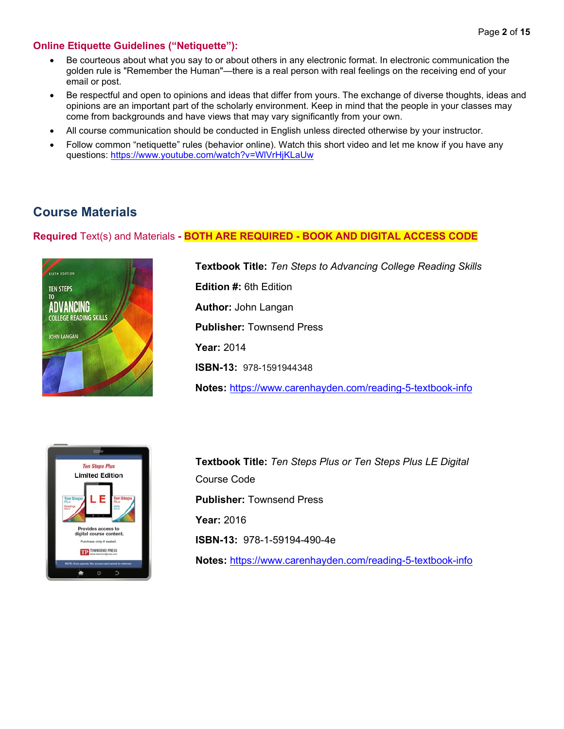#### **Online Etiquette Guidelines ("Netiquette"):**

- Be courteous about what you say to or about others in any electronic format. In electronic communication the golden rule is "Remember the Human"—there is a real person with real feelings on the receiving end of your email or post.
- Be respectful and open to opinions and ideas that differ from yours. The exchange of diverse thoughts, ideas and opinions are an important part of the scholarly environment. Keep in mind that the people in your classes may come from backgrounds and have views that may vary significantly from your own.
- All course communication should be conducted in English unless directed otherwise by your instructor.
- Follow common "netiquette" rules (behavior online). Watch this short video and let me know if you have any questions:<https://www.youtube.com/watch?v=WlVrHjKLaUw>

## **Course Materials**

#### **Required** Text(s) and Materials **- BOTH ARE REQUIRED - BOOK AND DIGITAL ACCESS CODE**



**Textbook Title:** *Ten Steps to Advancing College Reading Skills* **Edition #:** 6th Edition **Author:** John Langan **Publisher:** Townsend Press **Year:** 2014 **ISBN-13:** 978-1591944348 **Notes:** <https://www.carenhayden.com/reading-5-textbook-info>



**Textbook Title:** *Ten Steps Plus or Ten Steps Plus LE Digital* Course Code **Publisher:** Townsend Press **Year:** 2016 **ISBN-13:** 978-1-59194-490-4e **Notes:** <https://www.carenhayden.com/reading-5-textbook-info>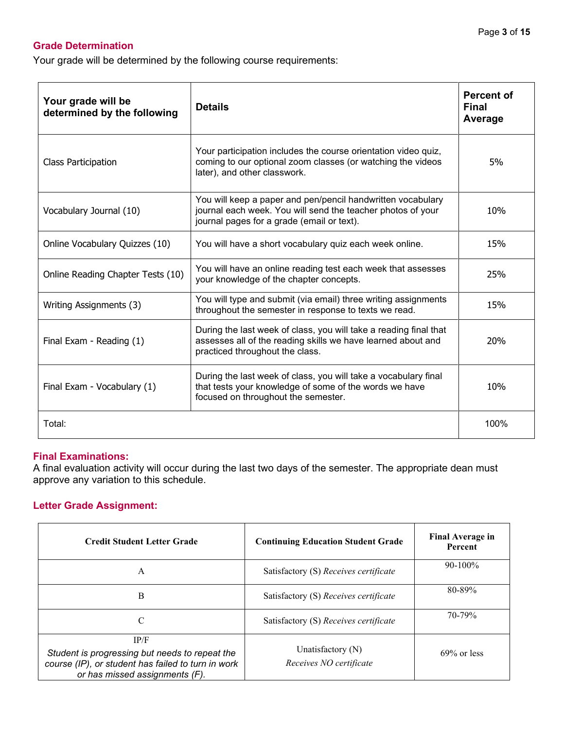### **Grade Determination**

Your grade will be determined by the following course requirements:

| Your grade will be<br>determined by the following | <b>Details</b>                                                                                                                                                           | <b>Percent of</b><br><b>Final</b><br>Average |
|---------------------------------------------------|--------------------------------------------------------------------------------------------------------------------------------------------------------------------------|----------------------------------------------|
| <b>Class Participation</b>                        | Your participation includes the course orientation video quiz,<br>coming to our optional zoom classes (or watching the videos<br>later), and other classwork.            | 5%                                           |
| Vocabulary Journal (10)                           | You will keep a paper and pen/pencil handwritten vocabulary<br>journal each week. You will send the teacher photos of your<br>journal pages for a grade (email or text). | 10%                                          |
| Online Vocabulary Quizzes (10)                    | You will have a short vocabulary quiz each week online.                                                                                                                  | 15%                                          |
| Online Reading Chapter Tests (10)                 | You will have an online reading test each week that assesses<br>your knowledge of the chapter concepts.                                                                  | 25%                                          |
| Writing Assignments (3)                           | You will type and submit (via email) three writing assignments<br>throughout the semester in response to texts we read.                                                  | 15%                                          |
| Final Exam - Reading (1)                          | During the last week of class, you will take a reading final that<br>assesses all of the reading skills we have learned about and<br>practiced throughout the class.     | 20%                                          |
| Final Exam - Vocabulary (1)                       | During the last week of class, you will take a vocabulary final<br>that tests your knowledge of some of the words we have<br>focused on throughout the semester.         | 10%                                          |
| Total:                                            |                                                                                                                                                                          | 100%                                         |

#### **Final Examinations:**

A final evaluation activity will occur during the last two days of the semester. The appropriate dean must approve any variation to this schedule.

#### **Letter Grade Assignment:**

| <b>Credit Student Letter Grade</b>                                                                                                             | <b>Continuing Education Student Grade</b>    | <b>Final Average in</b><br>Percent |
|------------------------------------------------------------------------------------------------------------------------------------------------|----------------------------------------------|------------------------------------|
| A                                                                                                                                              | Satisfactory (S) Receives certificate        | $90-100\%$                         |
| в                                                                                                                                              | Satisfactory (S) Receives certificate        | 80-89%                             |
| C                                                                                                                                              | Satisfactory (S) Receives certificate        | 70-79%                             |
| IP/F<br>Student is progressing but needs to repeat the<br>course (IP), or student has failed to turn in work<br>or has missed assignments (F). | Unatisfactory (N)<br>Receives NO certificate | $69\%$ or less                     |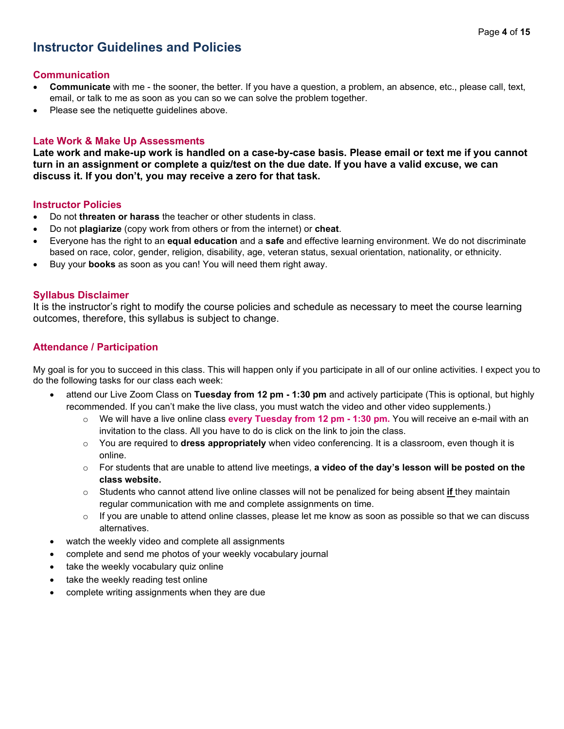# **Instructor Guidelines and Policies**

#### **Communication**

- **Communicate** with me the sooner, the better. If you have a question, a problem, an absence, etc., please call, text, email, or talk to me as soon as you can so we can solve the problem together.
- Please see the netiquette guidelines above.

#### **Late Work & Make Up Assessments**

**Late work and make-up work is handled on a case-by-case basis. Please email or text me if you cannot turn in an assignment or complete a quiz/test on the due date. If you have a valid excuse, we can discuss it. If you don't, you may receive a zero for that task.**

#### **Instructor Policies**

- Do not **threaten or harass** the teacher or other students in class.
- Do not **plagiarize** (copy work from others or from the internet) or **cheat**.
- Everyone has the right to an **equal education** and a **safe** and effective learning environment. We do not discriminate based on race, color, gender, religion, disability, age, veteran status, sexual orientation, nationality, or ethnicity.
- Buy your **books** as soon as you can! You will need them right away.

#### **Syllabus Disclaimer**

It is the instructor's right to modify the course policies and schedule as necessary to meet the course learning outcomes, therefore, this syllabus is subject to change.

#### **Attendance / Participation**

My goal is for you to succeed in this class. This will happen only if you participate in all of our online activities. I expect you to do the following tasks for our class each week:

- attend our Live Zoom Class on **Tuesday from 12 pm - 1:30 pm** and actively participate (This is optional, but highly recommended. If you can't make the live class, you must watch the video and other video supplements.)
	- o We will have a live online class **every Tuesday from 12 pm - 1:30 pm.** You will receive an e-mail with an invitation to the class. All you have to do is click on the link to join the class.
	- o You are required to **dress appropriately** when video conferencing. It is a classroom, even though it is online.
	- o For students that are unable to attend live meetings, **a video of the day's lesson will be posted on the class website.**
	- o Students who cannot attend live online classes will not be penalized for being absent **if** they maintain regular communication with me and complete assignments on time.
	- $\circ$  If you are unable to attend online classes, please let me know as soon as possible so that we can discuss alternatives.
- watch the weekly video and complete all assignments
- complete and send me photos of your weekly vocabulary journal
- take the weekly vocabulary quiz online
- take the weekly reading test online
- complete writing assignments when they are due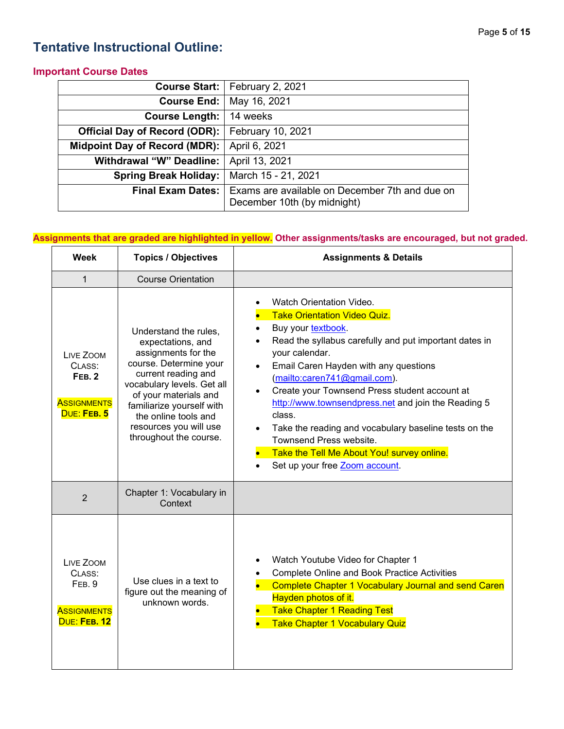# **Tentative Instructional Outline:**

#### **Important Course Dates**

| Course Start:                        | February 2, 2021                                                              |
|--------------------------------------|-------------------------------------------------------------------------------|
| Course End:                          | May 16, 2021                                                                  |
| <b>Course Length:</b>                | 14 weeks                                                                      |
| <b>Official Day of Record (ODR):</b> | February 10, 2021                                                             |
| Midpoint Day of Record (MDR):        | April 6, 2021                                                                 |
| <b>Withdrawal "W" Deadline:</b>      | April 13, 2021                                                                |
| <b>Spring Break Holiday:</b>         | March 15 - 21, 2021                                                           |
| <b>Final Exam Dates:</b>             | Exams are available on December 7th and due on<br>December 10th (by midnight) |

### **Assignments that are graded are highlighted in yellow. Other assignments/tasks are encouraged, but not graded.**

| Week                                                                      | <b>Topics / Objectives</b>                                                                                                                                                                                                                                                         | <b>Assignments &amp; Details</b>                                                                                                                                                                                                                                                                                                                                                                                                                                                                                                                                                                  |
|---------------------------------------------------------------------------|------------------------------------------------------------------------------------------------------------------------------------------------------------------------------------------------------------------------------------------------------------------------------------|---------------------------------------------------------------------------------------------------------------------------------------------------------------------------------------------------------------------------------------------------------------------------------------------------------------------------------------------------------------------------------------------------------------------------------------------------------------------------------------------------------------------------------------------------------------------------------------------------|
| $\mathbf{1}$                                                              | <b>Course Orientation</b>                                                                                                                                                                                                                                                          |                                                                                                                                                                                                                                                                                                                                                                                                                                                                                                                                                                                                   |
| LIVE ZOOM<br>CLASS:<br><b>FEB. 2</b><br><b>ASSIGNMENTS</b><br>DUE: FEB. 5 | Understand the rules,<br>expectations, and<br>assignments for the<br>course. Determine your<br>current reading and<br>vocabulary levels. Get all<br>of your materials and<br>familiarize yourself with<br>the online tools and<br>resources you will use<br>throughout the course. | Watch Orientation Video.<br><b>Take Orientation Video Quiz.</b><br>Buy your textbook.<br>$\bullet$<br>Read the syllabus carefully and put important dates in<br>$\bullet$<br>your calendar.<br>Email Caren Hayden with any questions<br>$\bullet$<br>(mailto:caren741@gmail.com).<br>Create your Townsend Press student account at<br>$\bullet$<br>http://www.townsendpress.net and join the Reading 5<br>class.<br>Take the reading and vocabulary baseline tests on the<br>$\bullet$<br>Townsend Press website.<br>Take the Tell Me About You! survey online.<br>Set up your free Zoom account. |
| $\overline{2}$                                                            | Chapter 1: Vocabulary in<br>Context                                                                                                                                                                                                                                                |                                                                                                                                                                                                                                                                                                                                                                                                                                                                                                                                                                                                   |
| LIVE ZOOM<br>CLASS:<br>FEB. 9<br><b>ASSIGNMENTS</b><br>DUE: FEB. 12       | Use clues in a text to<br>figure out the meaning of<br>unknown words.                                                                                                                                                                                                              | Watch Youtube Video for Chapter 1<br>$\bullet$<br><b>Complete Online and Book Practice Activities</b><br><b>Complete Chapter 1 Vocabulary Journal and send Caren</b><br>Hayden photos of it.<br><b>Take Chapter 1 Reading Test</b><br><b>Take Chapter 1 Vocabulary Quiz</b>                                                                                                                                                                                                                                                                                                                       |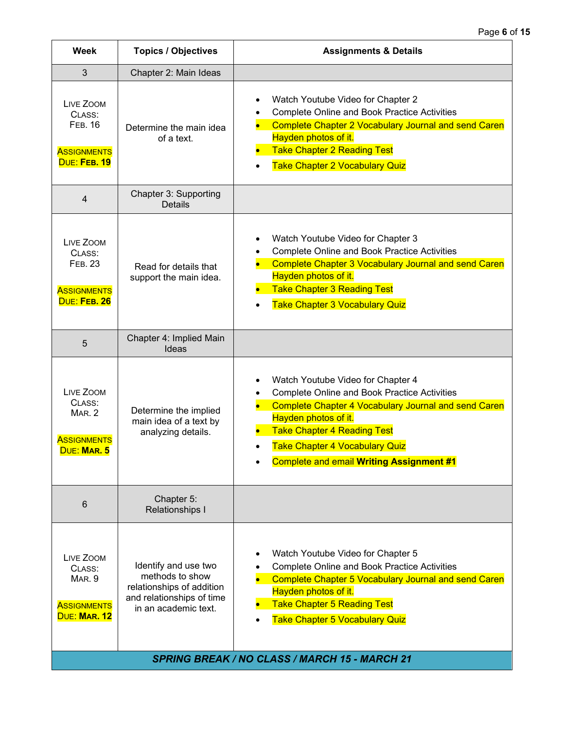| <b>Week</b>                                                                 | <b>Topics / Objectives</b>                                                                                                | <b>Assignments &amp; Details</b>                                                                                                                                                                                                                                                                                                            |
|-----------------------------------------------------------------------------|---------------------------------------------------------------------------------------------------------------------------|---------------------------------------------------------------------------------------------------------------------------------------------------------------------------------------------------------------------------------------------------------------------------------------------------------------------------------------------|
| 3                                                                           | Chapter 2: Main Ideas                                                                                                     |                                                                                                                                                                                                                                                                                                                                             |
| LIVE ZOOM<br>CLASS:<br><b>FEB. 16</b><br><b>ASSIGNMENTS</b><br>DUE: FEB. 19 | Determine the main idea<br>of a text.                                                                                     | Watch Youtube Video for Chapter 2<br>$\bullet$<br><b>Complete Online and Book Practice Activities</b><br><b>Complete Chapter 2 Vocabulary Journal and send Caren</b><br>Hayden photos of it.<br><b>Take Chapter 2 Reading Test</b><br>$\bullet$<br><b>Take Chapter 2 Vocabulary Quiz</b><br>$\bullet$                                       |
| $\overline{4}$                                                              | Chapter 3: Supporting<br><b>Details</b>                                                                                   |                                                                                                                                                                                                                                                                                                                                             |
| LIVE ZOOM<br>CLASS:<br><b>FEB. 23</b><br><b>ASSIGNMENTS</b><br>DUE: FEB. 26 | Read for details that<br>support the main idea.                                                                           | Watch Youtube Video for Chapter 3<br>$\bullet$<br><b>Complete Online and Book Practice Activities</b><br>$\bullet$<br><b>Complete Chapter 3 Vocabulary Journal and send Caren</b><br>Hayden photos of it.<br><b>Take Chapter 3 Reading Test</b><br><b>Take Chapter 3 Vocabulary Quiz</b>                                                    |
| 5                                                                           | Chapter 4: Implied Main<br>Ideas                                                                                          |                                                                                                                                                                                                                                                                                                                                             |
| LIVE ZOOM<br>CLASS:<br>MAR. 2<br><b>ASSIGNMENTS</b><br>DUE: MAR. 5          | Determine the implied<br>main idea of a text by<br>analyzing details.                                                     | Watch Youtube Video for Chapter 4<br>$\bullet$<br><b>Complete Online and Book Practice Activities</b><br>$\bullet$<br><b>Complete Chapter 4 Vocabulary Journal and send Caren</b><br>Hayden photos of it.<br><b>Take Chapter 4 Reading Test</b><br><b>Take Chapter 4 Vocabulary Quiz</b><br><b>Complete and email Writing Assignment #1</b> |
| $6\phantom{1}$                                                              | Chapter 5:<br>Relationships I                                                                                             |                                                                                                                                                                                                                                                                                                                                             |
| LIVE ZOOM<br>CLASS:<br>MAR. 9<br><b>ASSIGNMENTS</b><br>DUE: MAR. 12         | Identify and use two<br>methods to show<br>relationships of addition<br>and relationships of time<br>in an academic text. | Watch Youtube Video for Chapter 5<br><b>Complete Online and Book Practice Activities</b><br><b>Complete Chapter 5 Vocabulary Journal and send Caren</b><br>Hayden photos of it.<br><b>Take Chapter 5 Reading Test</b><br><b>Take Chapter 5 Vocabulary Quiz</b>                                                                              |
| <b>SPRING BREAK / NO CLASS / MARCH 15 - MARCH 21</b>                        |                                                                                                                           |                                                                                                                                                                                                                                                                                                                                             |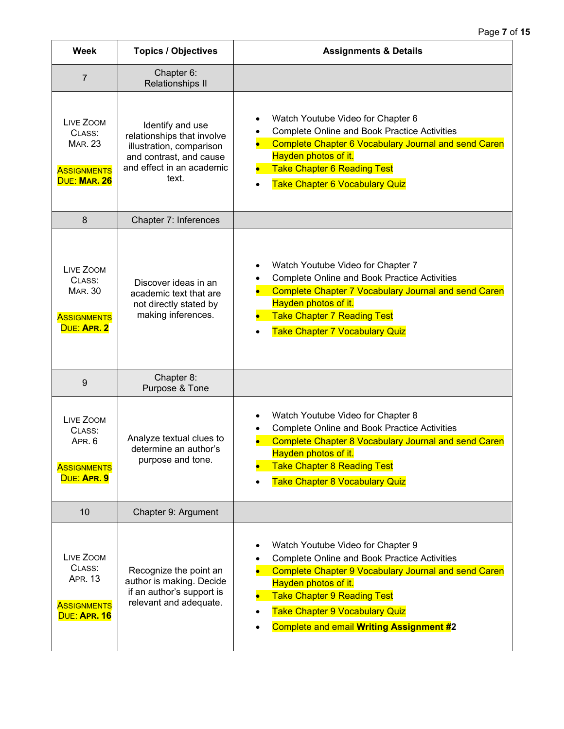| <b>Week</b>                                                                 | <b>Topics / Objectives</b>                                                                                                                  | <b>Assignments &amp; Details</b>                                                                                                                                                                                                                                                                                                     |
|-----------------------------------------------------------------------------|---------------------------------------------------------------------------------------------------------------------------------------------|--------------------------------------------------------------------------------------------------------------------------------------------------------------------------------------------------------------------------------------------------------------------------------------------------------------------------------------|
| $\overline{7}$                                                              | Chapter 6:<br><b>Relationships II</b>                                                                                                       |                                                                                                                                                                                                                                                                                                                                      |
| LIVE ZOOM<br>CLASS:<br><b>MAR. 23</b><br><b>ASSIGNMENTS</b><br>DUE: MAR. 26 | Identify and use<br>relationships that involve<br>illustration, comparison<br>and contrast, and cause<br>and effect in an academic<br>text. | Watch Youtube Video for Chapter 6<br>$\bullet$<br><b>Complete Online and Book Practice Activities</b><br><b>Complete Chapter 6 Vocabulary Journal and send Caren</b><br>Hayden photos of it.<br><b>Take Chapter 6 Reading Test</b><br>Take Chapter 6 Vocabulary Quiz                                                                 |
| 8                                                                           | Chapter 7: Inferences                                                                                                                       |                                                                                                                                                                                                                                                                                                                                      |
| LIVE ZOOM<br>CLASS:<br><b>MAR. 30</b><br><b>ASSIGNMENTS</b><br>DUE: APR. 2  | Discover ideas in an<br>academic text that are<br>not directly stated by<br>making inferences.                                              | Watch Youtube Video for Chapter 7<br>$\bullet$<br><b>Complete Online and Book Practice Activities</b><br><b>Complete Chapter 7 Vocabulary Journal and send Caren</b><br>Hayden photos of it.<br><b>Take Chapter 7 Reading Test</b><br><b>Take Chapter 7 Vocabulary Quiz</b>                                                          |
| 9                                                                           | Chapter 8:<br>Purpose & Tone                                                                                                                |                                                                                                                                                                                                                                                                                                                                      |
| LIVE ZOOM<br>CLASS:<br>APR. 6<br><b>ASSIGNMENTS</b><br>DUE: APR. 9          | Analyze textual clues to<br>determine an author's<br>purpose and tone.                                                                      | Watch Youtube Video for Chapter 8<br>٠<br><b>Complete Online and Book Practice Activities</b><br><b>Complete Chapter 8 Vocabulary Journal and send Caren</b><br>Hayden photos of it.<br><b>Take Chapter 8 Reading Test</b><br><b>Take Chapter 8 Vocabulary Quiz</b>                                                                  |
| 10                                                                          | Chapter 9: Argument                                                                                                                         |                                                                                                                                                                                                                                                                                                                                      |
| LIVE ZOOM<br>CLASS:<br><b>APR. 13</b><br><b>ASSIGNMENTS</b><br>DUE: APR. 16 | Recognize the point an<br>author is making. Decide<br>if an author's support is<br>relevant and adequate.                                   | Watch Youtube Video for Chapter 9<br>$\bullet$<br><b>Complete Online and Book Practice Activities</b><br><b>Complete Chapter 9 Vocabulary Journal and send Caren</b><br>Hayden photos of it.<br><b>Take Chapter 9 Reading Test</b><br><b>Take Chapter 9 Vocabulary Quiz</b><br>$\bullet$<br>Complete and email Writing Assignment #2 |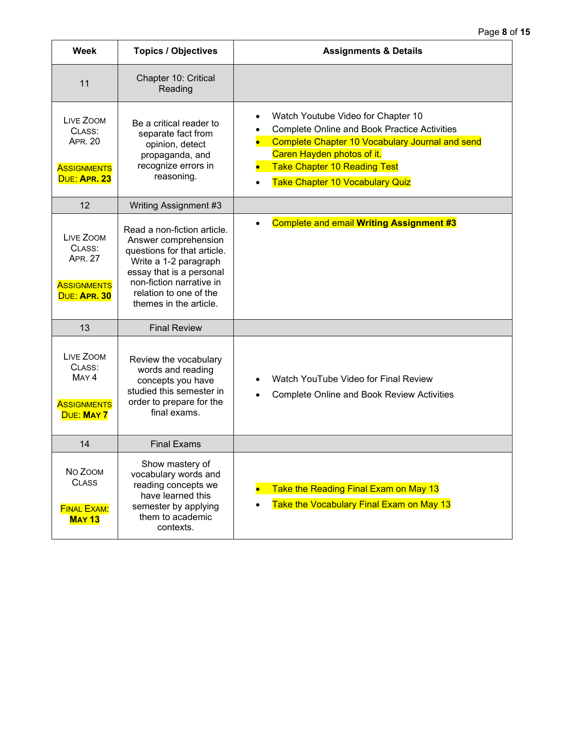| <b>Week</b>                                                                        | <b>Topics / Objectives</b>                                                                                                                                                                                              | <b>Assignments &amp; Details</b>                                                                                                                                                                                                                                                |
|------------------------------------------------------------------------------------|-------------------------------------------------------------------------------------------------------------------------------------------------------------------------------------------------------------------------|---------------------------------------------------------------------------------------------------------------------------------------------------------------------------------------------------------------------------------------------------------------------------------|
| 11                                                                                 | Chapter 10: Critical<br>Reading                                                                                                                                                                                         |                                                                                                                                                                                                                                                                                 |
| LIVE ZOOM<br>CLASS:<br><b>APR. 20</b><br><b>ASSIGNMENTS</b><br>DUE: APR. 23        | Be a critical reader to<br>separate fact from<br>opinion, detect<br>propaganda, and<br>recognize errors in<br>reasoning.                                                                                                | Watch Youtube Video for Chapter 10<br><b>Complete Online and Book Practice Activities</b><br><b>Complete Chapter 10 Vocabulary Journal and send</b><br>Caren Hayden photos of it.<br><b>Take Chapter 10 Reading Test</b><br><b>Take Chapter 10 Vocabulary Quiz</b><br>$\bullet$ |
| 12                                                                                 | Writing Assignment #3                                                                                                                                                                                                   |                                                                                                                                                                                                                                                                                 |
| LIVE ZOOM<br>CLASS:<br><b>APR. 27</b><br><b>ASSIGNMENTS</b><br>DUE: APR. 30        | Read a non-fiction article.<br>Answer comprehension<br>questions for that article.<br>Write a 1-2 paragraph<br>essay that is a personal<br>non-fiction narrative in<br>relation to one of the<br>themes in the article. | <b>Complete and email Writing Assignment #3</b>                                                                                                                                                                                                                                 |
| 13                                                                                 | <b>Final Review</b>                                                                                                                                                                                                     |                                                                                                                                                                                                                                                                                 |
| LIVE ZOOM<br>CLASS:<br>MAY <sub>4</sub><br><b>ASSIGNMENTS</b><br><b>DUE: MAY 7</b> | Review the vocabulary<br>words and reading<br>concepts you have<br>studied this semester in<br>order to prepare for the<br>final exams.                                                                                 | Watch YouTube Video for Final Review<br><b>Complete Online and Book Review Activities</b>                                                                                                                                                                                       |
| 14                                                                                 | <b>Final Exams</b>                                                                                                                                                                                                      |                                                                                                                                                                                                                                                                                 |
| No Zoom<br><b>CLASS</b><br><b>FINAL EXAM:</b><br><b>MAY 13</b>                     | Show mastery of<br>vocabulary words and<br>reading concepts we<br>have learned this<br>semester by applying<br>them to academic<br>contexts.                                                                            | Take the Reading Final Exam on May 13<br>Take the Vocabulary Final Exam on May 13                                                                                                                                                                                               |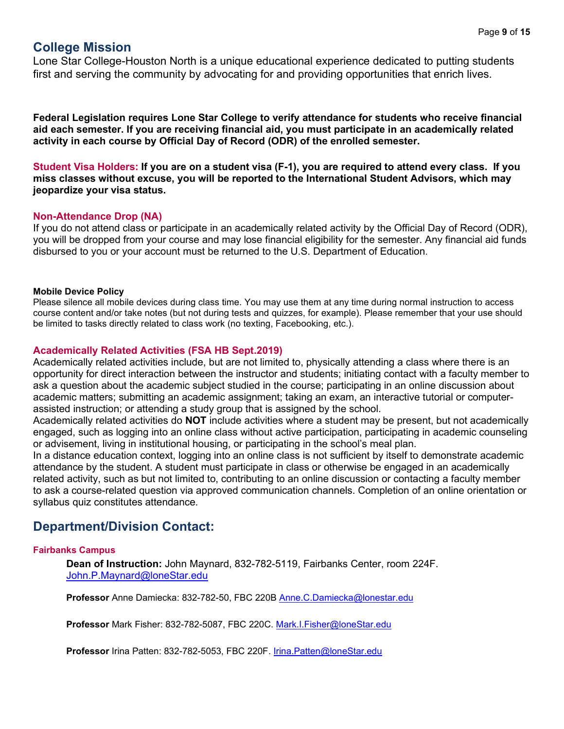### **College Mission**

Lone Star College-Houston North is a unique educational experience dedicated to putting students first and serving the community by advocating for and providing opportunities that enrich lives.

**Federal Legislation requires Lone Star College to verify attendance for students who receive financial aid each semester. If you are receiving financial aid, you must participate in an academically related activity in each course by Official Day of Record (ODR) of the enrolled semester.** 

**Student Visa Holders: If you are on a student visa (F-1), you are required to attend every class. If you miss classes without excuse, you will be reported to the International Student Advisors, which may jeopardize your visa status.** 

#### **Non-Attendance Drop (NA)**

If you do not attend class or participate in an academically related activity by the Official Day of Record (ODR), you will be dropped from your course and may lose financial eligibility for the semester. Any financial aid funds disbursed to you or your account must be returned to the U.S. Department of Education.

#### **Mobile Device Policy**

Please silence all mobile devices during class time. You may use them at any time during normal instruction to access course content and/or take notes (but not during tests and quizzes, for example). Please remember that your use should be limited to tasks directly related to class work (no texting, Facebooking, etc.).

#### **Academically Related Activities (FSA HB Sept.2019)**

Academically related activities include, but are not limited to, physically attending a class where there is an opportunity for direct interaction between the instructor and students; initiating contact with a faculty member to ask a question about the academic subject studied in the course; participating in an online discussion about academic matters; submitting an academic assignment; taking an exam, an interactive tutorial or computerassisted instruction; or attending a study group that is assigned by the school.

Academically related activities do **NOT** include activities where a student may be present, but not academically engaged, such as logging into an online class without active participation, participating in academic counseling or advisement, living in institutional housing, or participating in the school's meal plan.

In a distance education context, logging into an online class is not sufficient by itself to demonstrate academic attendance by the student. A student must participate in class or otherwise be engaged in an academically related activity, such as but not limited to, contributing to an online discussion or contacting a faculty member to ask a course-related question via approved communication channels. Completion of an online orientation or syllabus quiz constitutes attendance.

### **Department/Division Contact:**

#### **Fairbanks Campus**

**Dean of Instruction:** John Maynard, 832-782-5119, Fairbanks Center, room 224F. [John.P.Maynard@loneStar.edu](mailto:John.P.Maynard@loneStar.edu)

**Professor** Anne Damiecka: 832-782-50, FBC 220B [Anne.C.Damiecka@lonestar.edu](mailto:Anne.C.Damiecka@lonestar.edu)

**Professor** Mark Fisher: 832-782-5087, FBC 220C. [Mark.I.Fisher@loneStar.edu](mailto:Mark.I.Fisher@loneStar.edu)

**Professor** Irina Patten: 832-782-5053, FBC 220F. [Irina.Patten@loneStar.edu](mailto:Irina.Patten@loneStar.edu)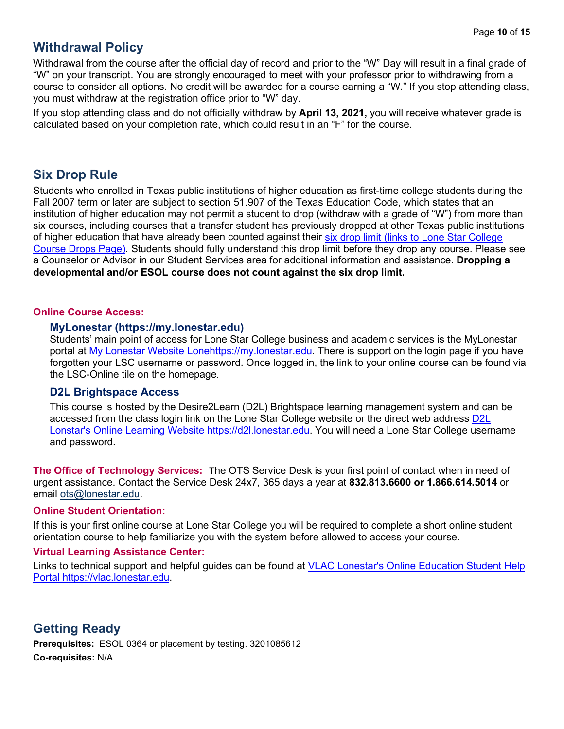### **Withdrawal Policy**

Withdrawal from the course after the official day of record and prior to the "W" Day will result in a final grade of "W" on your transcript. You are strongly encouraged to meet with your professor prior to withdrawing from a course to consider all options. No credit will be awarded for a course earning a "W." If you stop attending class, you must withdraw at the registration office prior to "W" day.

If you stop attending class and do not officially withdraw by **April 13, 2021,** you will receive whatever grade is calculated based on your completion rate, which could result in an "F" for the course.

## **Six Drop Rule**

Students who enrolled in Texas public institutions of higher education as first-time college students during the Fall 2007 term or later are subject to section 51.907 of the Texas Education Code, which states that an institution of higher education may not permit a student to drop (withdraw with a grade of "W") from more than six courses, including courses that a transfer student has previously dropped at other Texas public institutions of higher education that have already been counted against their [six drop limit \(links to Lone Star College](http://www.lonestar.edu/course-drops.htm)  [Course Drops Page\).](http://www.lonestar.edu/course-drops.htm) Students should fully understand this drop limit before they drop any course. Please see a Counselor or Advisor in our Student Services area for additional information and assistance. **Dropping a developmental and/or ESOL course does not count against the six drop limit.**

#### **Online Course Access:**

#### **MyLonestar [\(https://my.lonestar.edu\)](https://my.lonestar.edu/)**

Students' main point of access for Lone Star College business and academic services is the MyLonestar portal at [My Lonestar Website Lonehttps://my.lonestar.edu.](https://my.lonestar.edu/) There is support on the login page if you have forgotten your LSC username or password. Once logged in, the link to your online course can be found via the LSC-Online tile on the homepage.

#### **D2L Brightspace Access**

This course is hosted by the Desire2Learn (D2L) Brightspace learning management system and can be accessed from the class login link on the Lone Star College website or the direct web address [D2L](https://d2l.lonestar.edu/)  [Lonstar's Online Learning Website https://d2l.lonestar.edu.](https://d2l.lonestar.edu/) You will need a Lone Star College username and password.

**The Office of Technology Services:** The OTS Service Desk is your first point of contact when in need of urgent assistance. Contact the Service Desk 24x7, 365 days a year at **832.813.6600 or 1.866.614.5014** or email [ots@lonestar.edu.](mailto:ots@lonestar.edu)

#### **Online Student Orientation:**

If this is your first online course at Lone Star College you will be required to complete a short online student orientation course to help familiarize you with the system before allowed to access your course.

#### **Virtual Learning Assistance Center:**

Links to technical support and helpful guides can be found at [VLAC Lonestar's Online Education Student Help](https://vlac.lonestar.edu/)  [Portal https://vlac.lonestar.edu.](https://vlac.lonestar.edu/)

### **Getting Ready**

**Prerequisites:** ESOL 0364 or placement by testing. 3201085612 **Co-requisites:** N/A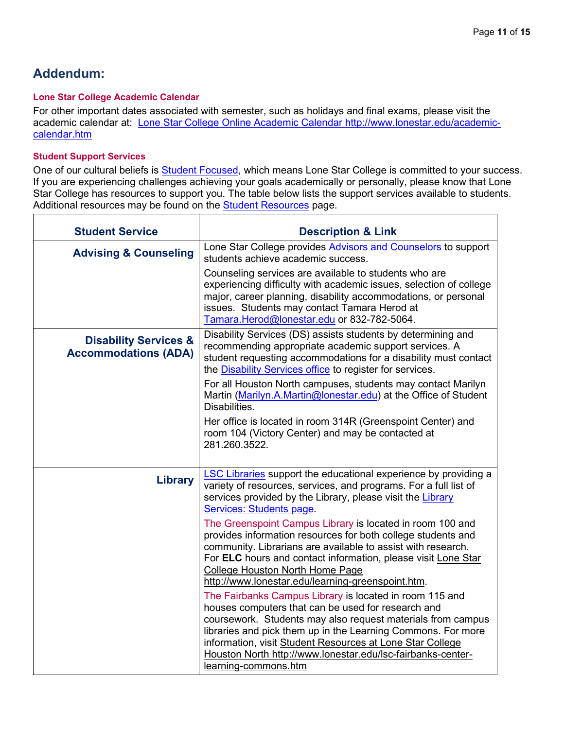٦

# **Addendum:**

 $\Gamma$ 

#### **Lone Star College Academic Calendar**

For other important dates associated with semester, such as holidays and final exams, please visit the academic calendar at: [Lone Star College Online Academic Calendar http://www.lonestar.edu/academic](http://www.lonestar.edu/academic-calendar.htm)[calendar.htm](http://www.lonestar.edu/academic-calendar.htm)

#### **Student Support Services**

One of our cultural beliefs is **Student Focused**, which means Lone Star College is committed to your success. If you are experiencing challenges achieving your goals academically or personally, please know that Lone Star College has resources to support you. The table below lists the support services available to students. Additional resources may be found on the **Student Resources** page.

| <b>Student Service</b>                                          | <b>Description &amp; Link</b>                                                                                                                                                                                                                                                                                                                             |
|-----------------------------------------------------------------|-----------------------------------------------------------------------------------------------------------------------------------------------------------------------------------------------------------------------------------------------------------------------------------------------------------------------------------------------------------|
| <b>Advising &amp; Counseling</b>                                | Lone Star College provides Advisors and Counselors to support<br>students achieve academic success.                                                                                                                                                                                                                                                       |
|                                                                 | Counseling services are available to students who are<br>experiencing difficulty with academic issues, selection of college<br>major, career planning, disability accommodations, or personal<br>issues. Students may contact Tamara Herod at<br>Tamara.Herod@lonestar.edu or 832-782-5064.                                                               |
| <b>Disability Services &amp;</b><br><b>Accommodations (ADA)</b> | Disability Services (DS) assists students by determining and<br>recommending appropriate academic support services. A<br>student requesting accommodations for a disability must contact<br>the <b>Disability Services office</b> to register for services.                                                                                               |
|                                                                 | For all Houston North campuses, students may contact Marilyn<br>Martin (Marilyn.A.Martin@lonestar.edu) at the Office of Student<br>Disabilities.                                                                                                                                                                                                          |
|                                                                 | Her office is located in room 314R (Greenspoint Center) and<br>room 104 (Victory Center) and may be contacted at<br>281.260.3522.                                                                                                                                                                                                                         |
| <b>Library</b>                                                  | <b>LSC Libraries</b> support the educational experience by providing a<br>variety of resources, services, and programs. For a full list of<br>services provided by the Library, please visit the Library<br>Services: Students page.                                                                                                                      |
|                                                                 | The Greenspoint Campus Library is located in room 100 and<br>provides information resources for both college students and<br>community. Librarians are available to assist with research.<br>For ELC hours and contact information, please visit Lone Star<br><b>College Houston North Home Page</b><br>http://www.lonestar.edu/learning-greenspoint.htm. |
|                                                                 | The Fairbanks Campus Library is located in room 115 and<br>houses computers that can be used for research and<br>coursework. Students may also request materials from campus                                                                                                                                                                              |
|                                                                 | libraries and pick them up in the Learning Commons. For more<br>information, visit Student Resources at Lone Star College<br>Houston North http://www.lonestar.edu/lsc-fairbanks-center-<br>learning-commons.htm                                                                                                                                          |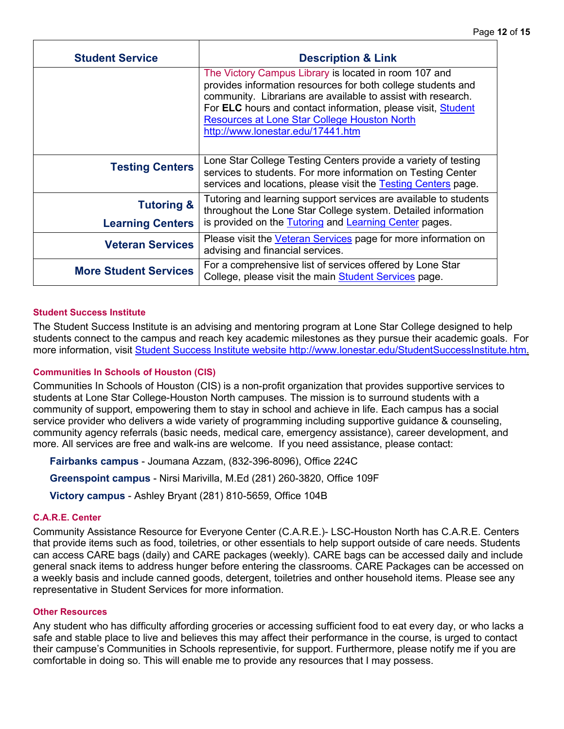| <b>Student Service</b>       | <b>Description &amp; Link</b>                                                                                                                                                                                                                                                                                                                     |
|------------------------------|---------------------------------------------------------------------------------------------------------------------------------------------------------------------------------------------------------------------------------------------------------------------------------------------------------------------------------------------------|
|                              | The Victory Campus Library is located in room 107 and<br>provides information resources for both college students and<br>community. Librarians are available to assist with research.<br>For ELC hours and contact information, please visit, Student<br><b>Resources at Lone Star College Houston North</b><br>http://www.lonestar.edu/17441.htm |
| <b>Testing Centers</b>       | Lone Star College Testing Centers provide a variety of testing<br>services to students. For more information on Testing Center<br>services and locations, please visit the Testing Centers page.                                                                                                                                                  |
| <b>Tutoring &amp;</b>        | Tutoring and learning support services are available to students<br>throughout the Lone Star College system. Detailed information<br>is provided on the Tutoring and Learning Center pages.                                                                                                                                                       |
| <b>Learning Centers</b>      |                                                                                                                                                                                                                                                                                                                                                   |
| <b>Veteran Services</b>      | Please visit the Veteran Services page for more information on<br>advising and financial services.                                                                                                                                                                                                                                                |
| <b>More Student Services</b> | For a comprehensive list of services offered by Lone Star<br>College, please visit the main Student Services page.                                                                                                                                                                                                                                |

#### **Student Success Institute**

The Student Success Institute is an advising and mentoring program at Lone Star College designed to help students connect to the campus and reach key academic milestones as they pursue their academic goals. For more information, visit Student Success Institute website http://www.lonestar.edu/StudentSuccessInstitute.htm.

#### **Communities In Schools of Houston (CIS)**

Communities In Schools of Houston (CIS) is a non-profit organization that provides supportive services to students at Lone Star College-Houston North campuses. The mission is to surround students with a community of support, empowering them to stay in school and achieve in life. Each campus has a social service provider who delivers a wide variety of programming including supportive guidance & counseling, community agency referrals (basic needs, medical care, emergency assistance), career development, and more. All services are free and walk-ins are welcome. If you need assistance, please contact:

**Fairbanks campus** - Joumana Azzam, (832-396-8096), Office 224C

**Greenspoint campus** - Nirsi Marivilla, M.Ed (281) 260-3820, Office 109F

**Victory campus** - Ashley Bryant (281) 810-5659, Office 104B

#### **C.A.R.E. Center**

Community Assistance Resource for Everyone Center (C.A.R.E.)- LSC-Houston North has C.A.R.E. Centers that provide items such as food, toiletries, or other essentials to help support outside of care needs. Students can access CARE bags (daily) and CARE packages (weekly). CARE bags can be accessed daily and include general snack items to address hunger before entering the classrooms. CARE Packages can be accessed on a weekly basis and include canned goods, detergent, toiletries and onther household items. Please see any representative in Student Services for more information.

#### **Other Resources**

Any student who has difficulty affording groceries or accessing sufficient food to eat every day, or who lacks a safe and stable place to live and believes this may affect their performance in the course, is urged to contact their campuse's Communities in Schools representivie, for support. Furthermore, please notify me if you are comfortable in doing so. This will enable me to provide any resources that I may possess.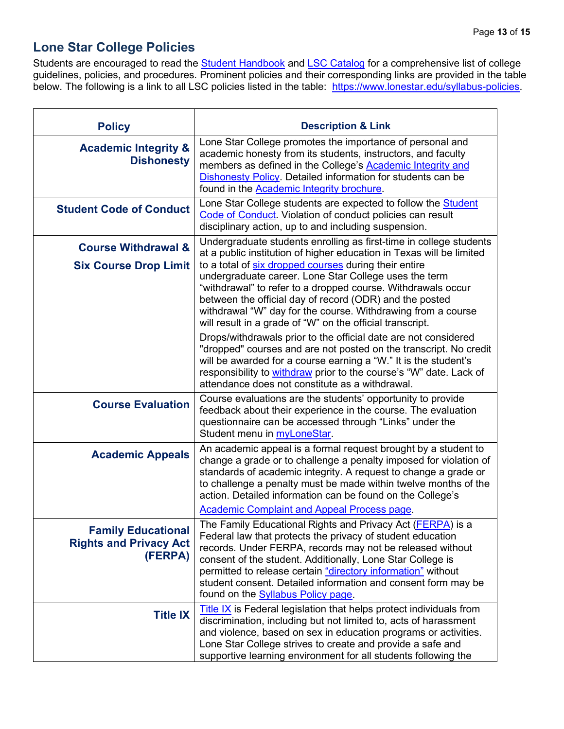# **Lone Star College Policies**

Students are encouraged to read the **Student Handbook** and [LSC Catalog](http://www.lonestar.edu/lscs-catalog.htm) for a comprehensive list of college guidelines, policies, and procedures. Prominent policies and their corresponding links are provided in the table below. The following is a link to all LSC policies listed in the table: [https://www.lonestar.edu/syllabus-policies.](https://www.lonestar.edu/syllabus-policies)

| <b>Policy</b>                                                         | <b>Description &amp; Link</b>                                                                                                                                                                                                                                                                                                                                                                                                       |
|-----------------------------------------------------------------------|-------------------------------------------------------------------------------------------------------------------------------------------------------------------------------------------------------------------------------------------------------------------------------------------------------------------------------------------------------------------------------------------------------------------------------------|
| <b>Academic Integrity &amp;</b><br><b>Dishonesty</b>                  | Lone Star College promotes the importance of personal and<br>academic honesty from its students, instructors, and faculty<br>members as defined in the College's <b>Academic Integrity and</b><br><b>Dishonesty Policy.</b> Detailed information for students can be<br>found in the Academic Integrity brochure.                                                                                                                   |
| <b>Student Code of Conduct</b>                                        | Lone Star College students are expected to follow the <b>Student</b><br>Code of Conduct. Violation of conduct policies can result<br>disciplinary action, up to and including suspension.                                                                                                                                                                                                                                           |
| <b>Course Withdrawal &amp;</b>                                        | Undergraduate students enrolling as first-time in college students<br>at a public institution of higher education in Texas will be limited                                                                                                                                                                                                                                                                                          |
| <b>Six Course Drop Limit</b>                                          | to a total of six dropped courses during their entire<br>undergraduate career. Lone Star College uses the term<br>"withdrawal" to refer to a dropped course. Withdrawals occur<br>between the official day of record (ODR) and the posted<br>withdrawal "W" day for the course. Withdrawing from a course<br>will result in a grade of "W" on the official transcript.                                                              |
|                                                                       | Drops/withdrawals prior to the official date are not considered<br>"dropped" courses and are not posted on the transcript. No credit<br>will be awarded for a course earning a "W." It is the student's<br>responsibility to withdraw prior to the course's "W" date. Lack of<br>attendance does not constitute as a withdrawal.                                                                                                    |
| <b>Course Evaluation</b>                                              | Course evaluations are the students' opportunity to provide<br>feedback about their experience in the course. The evaluation<br>questionnaire can be accessed through "Links" under the<br>Student menu in myLoneStar.                                                                                                                                                                                                              |
| <b>Academic Appeals</b>                                               | An academic appeal is a formal request brought by a student to<br>change a grade or to challenge a penalty imposed for violation of<br>standards of academic integrity. A request to change a grade or<br>to challenge a penalty must be made within twelve months of the<br>action. Detailed information can be found on the College's                                                                                             |
|                                                                       | <b>Academic Complaint and Appeal Process page.</b>                                                                                                                                                                                                                                                                                                                                                                                  |
| <b>Family Educational</b><br><b>Rights and Privacy Act</b><br>(FERPA) | The Family Educational Rights and Privacy Act ( <b>FERPA</b> ) is a<br>Federal law that protects the privacy of student education<br>records. Under FERPA, records may not be released without<br>consent of the student. Additionally, Lone Star College is<br>permitted to release certain "directory information" without<br>student consent. Detailed information and consent form may be<br>found on the Syllabus Policy page. |
| <b>Title IX</b>                                                       | <b>Title IX</b> is Federal legislation that helps protect individuals from<br>discrimination, including but not limited to, acts of harassment<br>and violence, based on sex in education programs or activities.<br>Lone Star College strives to create and provide a safe and<br>supportive learning environment for all students following the                                                                                   |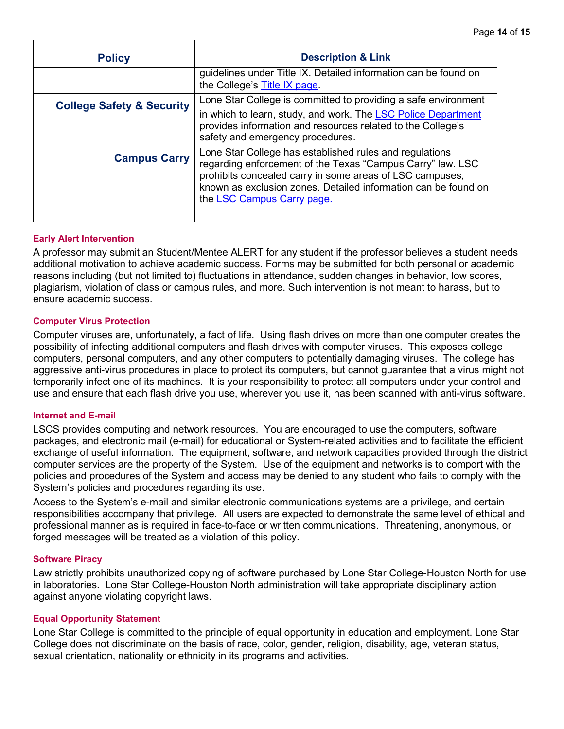| <b>Policy</b>                        | <b>Description &amp; Link</b>                                                                                                                                                                                                                                                     |
|--------------------------------------|-----------------------------------------------------------------------------------------------------------------------------------------------------------------------------------------------------------------------------------------------------------------------------------|
|                                      | guidelines under Title IX. Detailed information can be found on<br>the College's Title IX page.                                                                                                                                                                                   |
| <b>College Safety &amp; Security</b> | Lone Star College is committed to providing a safe environment                                                                                                                                                                                                                    |
|                                      | in which to learn, study, and work. The LSC Police Department<br>provides information and resources related to the College's<br>safety and emergency procedures.                                                                                                                  |
| <b>Campus Carry</b>                  | Lone Star College has established rules and regulations<br>regarding enforcement of the Texas "Campus Carry" law. LSC<br>prohibits concealed carry in some areas of LSC campuses,<br>known as exclusion zones. Detailed information can be found on<br>the LSC Campus Carry page. |

#### **Early Alert Intervention**

A professor may submit an Student/Mentee ALERT for any student if the professor believes a student needs additional motivation to achieve academic success. Forms may be submitted for both personal or academic reasons including (but not limited to) fluctuations in attendance, sudden changes in behavior, low scores, plagiarism, violation of class or campus rules, and more. Such intervention is not meant to harass, but to ensure academic success.

#### **Computer Virus Protection**

Computer viruses are, unfortunately, a fact of life. Using flash drives on more than one computer creates the possibility of infecting additional computers and flash drives with computer viruses. This exposes college computers, personal computers, and any other computers to potentially damaging viruses. The college has aggressive anti-virus procedures in place to protect its computers, but cannot guarantee that a virus might not temporarily infect one of its machines. It is your responsibility to protect all computers under your control and use and ensure that each flash drive you use, wherever you use it, has been scanned with anti-virus software.

#### **Internet and E-mail**

LSCS provides computing and network resources. You are encouraged to use the computers, software packages, and electronic mail (e-mail) for educational or System-related activities and to facilitate the efficient exchange of useful information. The equipment, software, and network capacities provided through the district computer services are the property of the System. Use of the equipment and networks is to comport with the policies and procedures of the System and access may be denied to any student who fails to comply with the System's policies and procedures regarding its use.

Access to the System's e-mail and similar electronic communications systems are a privilege, and certain responsibilities accompany that privilege. All users are expected to demonstrate the same level of ethical and professional manner as is required in face-to-face or written communications. Threatening, anonymous, or forged messages will be treated as a violation of this policy.

#### **Software Piracy**

Law strictly prohibits unauthorized copying of software purchased by Lone Star College-Houston North for use in laboratories. Lone Star College-Houston North administration will take appropriate disciplinary action against anyone violating copyright laws.

#### **Equal Opportunity Statement**

Lone Star College is committed to the principle of equal opportunity in education and employment. Lone Star College does not discriminate on the basis of race, color, gender, religion, disability, age, veteran status, sexual orientation, nationality or ethnicity in its programs and activities.